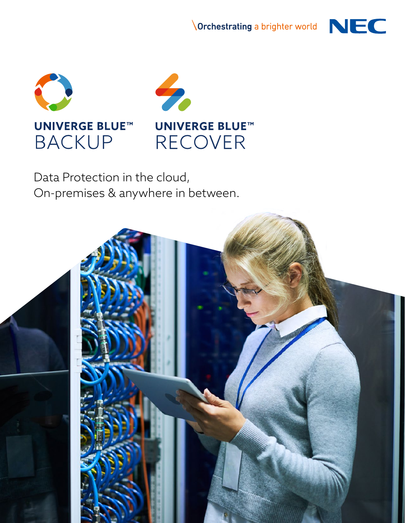**NOrchestrating a brighter world** NEC







Data Protection in the cloud, On-premises & anywhere in between.

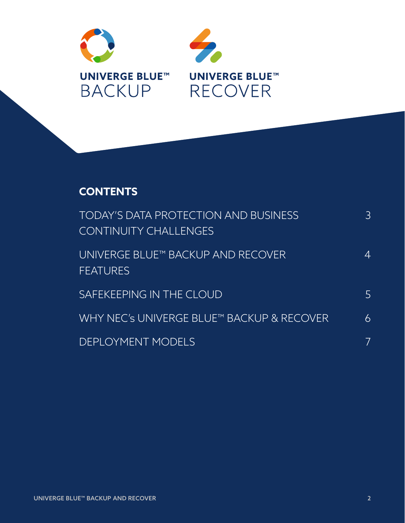



## **CONTENTS**

| <b>TODAY'S DATA PROTECTION AND BUSINESS</b><br><b>CONTINUITY CHALLENGES</b> | 3  |
|-----------------------------------------------------------------------------|----|
| UNIVERGE BLUE™ BACKUP AND RECOVER<br><b>FEATURES</b>                        | ∠⊥ |
| <b>SAFEKEEPING IN THE CLOUD</b>                                             | 5  |
| WHY NEC's UNIVERGE BLUE™ BACKUP & RECOVER                                   | 6  |
| <b>DEPLOYMENT MODELS</b>                                                    |    |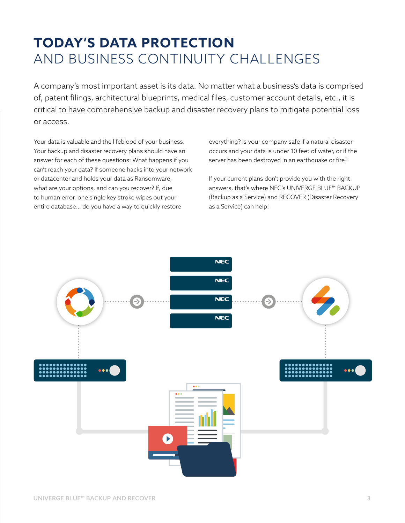# **TODAY'S DATA PROTECTION**  AND BUSINESS CONTINUITY CHALLENGES

A company's most important asset is its data. No matter what a business's data is comprised of, patent filings, architectural blueprints, medical files, customer account details, etc., it is critical to have comprehensive backup and disaster recovery plans to mitigate potential loss or access.

Your data is valuable and the lifeblood of your business. Your backup and disaster recovery plans should have an answer for each of these questions: What happens if you can't reach your data? If someone hacks into your network or datacenter and holds your data as Ransomware, what are your options, and can you recover? If, due to human error, one single key stroke wipes out your entire database… do you have a way to quickly restore

everything? Is your company safe if a natural disaster occurs and your data is under 10 feet of water, or if the server has been destroyed in an earthquake or fire?

If your current plans don't provide you with the right answers, that's where NEC's UNIVERGE BLUE™ BACKUP (Backup as a Service) and RECOVER (Disaster Recovery as a Service) can help!

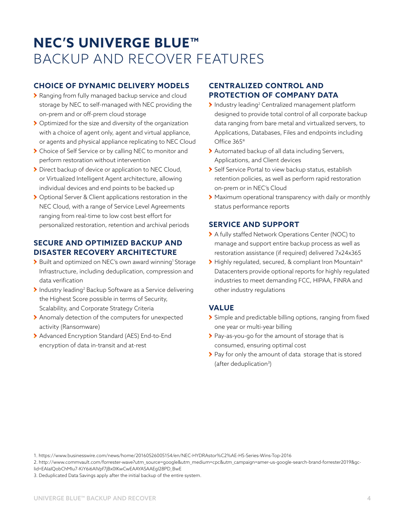# **NEC'S UNIVERGE BLUE™**  BACKUP AND RECOVER FEATURES

#### **CHOICE OF DYNAMIC DELIVERY MODELS**

- Ranging from fully managed backup service and cloud storage by NEC to self-managed with NEC providing the on-prem and or off-prem cloud storage
- Optimized for the size and diversity of the organization with a choice of agent only, agent and virtual appliance, or agents and physical appliance replicating to NEC Cloud
- Choice of Self Service or by calling NEC to monitor and perform restoration without intervention
- ▶ Direct backup of device or application to NEC Cloud, or Virtualized Intelligent Agent architecture, allowing individual devices and end points to be backed up
- Optional Server & Client applications restoration in the NEC Cloud, with a range of Service Level Agreements ranging from real-time to low cost best effort for personalized restoration, retention and archival periods

#### **SECURE AND OPTIMIZED BACKUP AND DISASTER RECOVERY ARCHITECTURE**

- > Built and optimized on NEC's own award winning<sup>1</sup> Storage Infrastructure, including deduplication, compression and data verification
- Industry leading<sup>2</sup> Backup Software as a Service delivering the Highest Score possible in terms of Security, Scalability, and Corporate Strategy Criteria
- Anomaly detection of the computers for unexpected activity (Ransomware)
- Advanced Encryption Standard (AES) End-to-End encryption of data in-transit and at-rest

#### **CENTRALIZED CONTROL AND PROTECTION OF COMPANY DATA**

- Industry leading2 Centralized management platform designed to provide total control of all corporate backup data ranging from bare metal and virtualized servers, to Applications, Databases, Files and endpoints including Office 365®
- > Automated backup of all data including Servers, Applications, and Client devices
- Self Service Portal to view backup status, establish retention policies, as well as perform rapid restoration on-prem or in NEC's Cloud
- Maximum operational transparency with daily or monthly status performance reports

#### **SERVICE AND SUPPORT**

- A fully staffed Network Operations Center (NOC) to manage and support entire backup process as well as restoration assistance (if required) delivered 7x24x365
- > Highly regulated, secured, & compliant Iron Mountain® Datacenters provide optional reports for highly regulated industries to meet demanding FCC, HIPAA, FINRA and other industry regulations

#### **VALUE**

- Simple and predictable billing options, ranging from fixed one year or multi-year billing
- > Pay-as-you-go for the amount of storage that is consumed, ensuring optimal cost
- > Pay for only the amount of data storage that is stored (after deduplication<sup>3</sup>)

2. http://www.commvault.com/forrester-wave?utm\_source=google&utm\_medium=cpc&utm\_campaign=amer-us-google-search-brand-forrester2019&gclid=EAIaIQobChMIu7-KiY6i6AIVpf7jBx0IKwCwEAAYASAAEgI28PD\_BwE

3. Deduplicated Data Savings apply after the initial backup of the entire system.

<sup>1.</sup> https://www.businesswire.com/news/home/20160526005154/en/NEC-HYDRAstor%C2%AE-HS-Series-Wins-Top-2016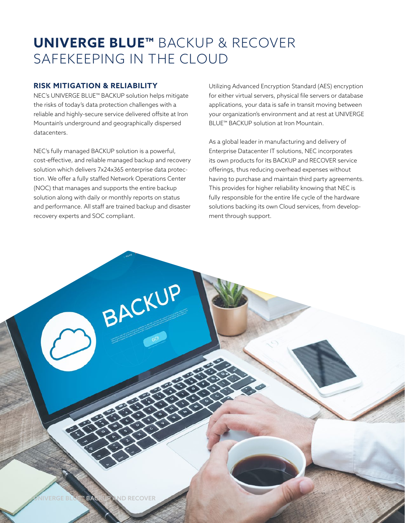# **UNIVERGE BLUE™** BACKUP & RECOVER SAFEKEEPING IN THE CLOUD

#### **RISK MITIGATION & RELIABILITY**

NEC's UNIVERGE BLUE™ BACKUP solution helps mitigate the risks of today's data protection challenges with a reliable and highly-secure service delivered offsite at Iron Mountain's underground and geographically dispersed datacenters.

NEC's fully managed BACKUP solution is a powerful, cost-effective, and reliable managed backup and recovery solution which delivers 7x24x365 enterprise data protection. We offer a fully staffed Network Operations Center (NOC) that manages and supports the entire backup solution along with daily or monthly reports on status and performance. All staff are trained backup and disaster recovery experts and SOC compliant.

BACKUP

Utilizing Advanced Encryption Standard (AES) encryption for either virtual servers, physical file servers or database applications, your data is safe in transit moving between your organization's environment and at rest at UNIVERGE BLUE™ BACKUP solution at Iron Mountain.

As a global leader in manufacturing and delivery of Enterprise Datacenter IT solutions, NEC incorporates its own products for its BACKUP and RECOVER service offerings, thus reducing overhead expenses without having to purchase and maintain third party agreements. This provides for higher reliability knowing that NEC is fully responsible for the entire life cycle of the hardware solutions backing its own Cloud services, from development through support.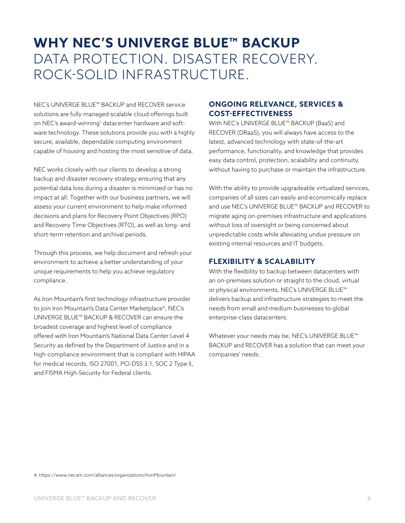# **WHY NEC'S UNIVERGE BLUE™ BACKUP**  DATA PROTECTION. DISASTER RECOVERY. ROCK-SOLID INFRASTRUCTURE.

NEC's UNIVERGE BLUE™ BACKUP and RECOVER service solutions are fully managed scalable cloud offerings built on NEC's award-winning<sup>1</sup> datacenter hardware and software technology. These solutions provide you with a highly secure, available, dependable computing environment capable of housing and hosting the most sensitive of data.

NEC works closely with our clients to develop a strong backup and disaster recovery strategy ensuring that any potential data loss during a disaster is minimized or has no impact at all. Together with our business partners, we will assess your current environment to help make informed decisions and plans for Recovery Point Objectives (RPO) and Recovery Time Objectives (RTO), as well as long- and short-term retention and archival periods.

Through this process, we help document and refresh your environment to achieve a better understanding of your unique requirements to help you achieve regulatory compliance.

As Iron Mountain's first technology infrastructure provider to join Iron Mountain's Data Center Marketplace<sup>4</sup>, NEC's UNIVERGE BLUE™ BACKUP & RECOVER can ensure the broadest coverage and highest level of compliance offered with Iron Mountain's National Data Center Level 4 Security as defined by the Department of Justice and in a high-compliance environment that is compliant with HIPAA for medical records, ISO 27001, PCI-DSS 3.1, SOC 2 Type II, and FISMA High-Security for Federal clients.

#### **ONGOING RELEVANCE, SERVICES & COST-EFFECTIVENESS**

With NEC's UNIVERGE BLUE™ BACKUP (BaaS) and RECOVER (DRaaS), you will always have access to the latest, advanced technology with state-of-the-art performance, functionality, and knowledge that provides easy data control, protection, scalability and continuity, without having to purchase or maintain the infrastructure.

With the ability to provide upgradeable virtualized services, companies of all sizes can easily and economically replace and use NEC's UNIVERGE BLUE™ BACKUP and RECOVER to migrate aging on-premises infrastructure and applications without loss of oversight or being concerned about unpredictable costs while alleviating undue pressure on existing internal resources and IT budgets.

#### **FLEXIBILITY & SCALABILITY**

With the flexibility to backup between datacenters with an on-premises solution or straight to the cloud, virtual or physical environments, NEC's UNIVERGE BLUE™ delivers backup and infrastructure strategies to meet the needs from small and medium businesses to global enterprise-class datacenters.

Whatever your needs may be, NEC's UNIVERGE BLUE™ BACKUP and RECOVER has a solution that can meet your companies' needs.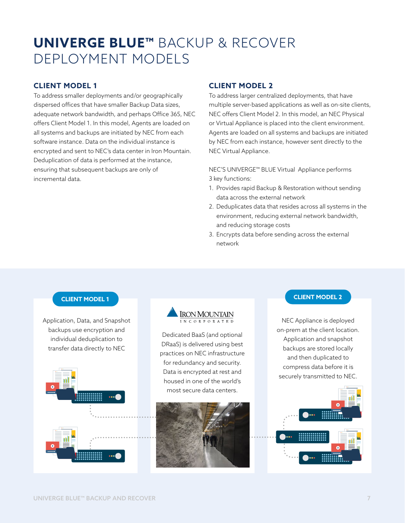# **UNIVERGE BLUE™** BACKUP & RECOVER DEPLOYMENT MODELS

### **CLIENT MODEL 1**

To address smaller deployments and/or geographically dispersed offices that have smaller Backup Data sizes, adequate network bandwidth, and perhaps Office 365, NEC offers Client Model 1. In this model, Agents are loaded on all systems and backups are initiated by NEC from each software instance. Data on the individual instance is encrypted and sent to NEC's data center in Iron Mountain. Deduplication of data is performed at the instance, ensuring that subsequent backups are only of incremental data.

#### **CLIENT MODEL 2**

To address larger centralized deployments, that have multiple server-based applications as well as on-site clients, NEC offers Client Model 2. In this model, an NEC Physical or Virtual Appliance is placed into the client environment. Agents are loaded on all systems and backups are initiated by NEC from each instance, however sent directly to the NEC Virtual Appliance.

NEC'S UNIVERGE™ BLUE Virtual Appliance performs 3 key functions:

- 1. Provides rapid Backup & Restoration without sending data across the external network
- 2. Deduplicates data that resides across all systems in the environment, reducing external network bandwidth, and reducing storage costs
- 3. Encrypts data before sending across the external network

Application, Data, and Snapshot backups use encryption and individual deduplication to transfer data directly to NEC





Dedicated BaaS (and optional DRaaS) is delivered using best practices on NEC infrastructure for redundancy and security. Data is encrypted at rest and housed in one of the world's most secure data centers.



#### **CLIENT MODEL 1 CLIENT MODEL 2**

NEC Appliance is deployed on-prem at the client location. Application and snapshot backups are stored locally and then duplicated to compress data before it is securely transmitted to NEC.